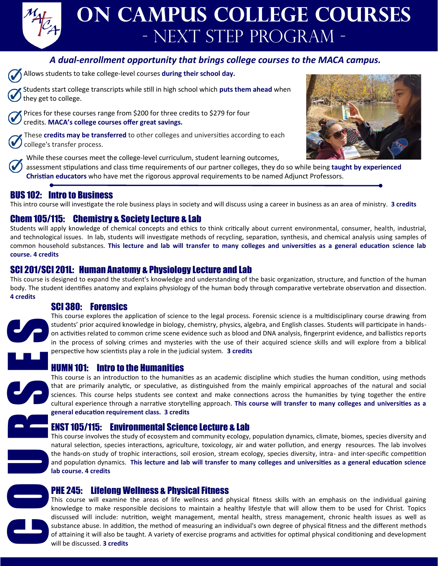

## *A dual-enrollment opportunity that brings college courses to the MACA campus.*

Allows students to take college-level courses **during their school day.** 

Students start college transcripts while still in high school which **puts them ahead** when they get to college.

Prices for these courses range from \$200 for three credits to \$279 for four credits. **MACA's college courses offer great savings.**

These **credits may be transferred** to other colleges and universities according to each college's transfer process.

While these courses meet the college-level curriculum, student learning outcomes,

assessment stipulations and class time requirements of our partner colleges, they do so while being **taught by experienced Christian educators** who have met the rigorous approval requirements to be named Adjunct Professors.

# BUS 102: Intro to Business

This intro course will investigate the role business plays in society and will discuss using a career in business as an area of ministry. **3 credits** 

## Chem 105/115: Chemistry & Society Lecture & Lab

Students will apply knowledge of chemical concepts and ethics to think critically about current environmental, consumer, health, industrial, and technological issues. In lab, students will investigate methods of recycling, separation, synthesis, and chemical analysis using samples of common household substances. **This lecture and lab will transfer to many colleges and universities as a general education science lab course. 4 credits** 

### SCI 201/SCI 201L: Human Anatomy & Physiology Lecture and Lab

This course is designed to expand the student's knowledge and understanding of the basic organization, structure, and function of the human body. The student identifies anatomy and explains physiology of the human body through comparative vertebrate observation and dissection. **4 credits**

### SCI 380: Forensics

This course explores the application of science to the legal process. Forensic science is a multidisciplinary course drawing from students' prior acquired knowledge in biology, chemistry, physics, algebra, and English classes. Students will participate in handson activities related to common crime scene evidence such as blood and DNA analysis, fingerprint evidence, and ballistics reports in the process of solving crimes and mysteries with the use of their acquired science skills and will explore from a biblical perspective how scientists play a role in the judicial system. **3 credits**

### HUMN 101: Intro to the Humanities

This course is an introduction to the humanities as an academic discipline which studies the human condition, using methods that are primarily analytic, or speculative, as distinguished from the mainly empirical approaches of the natural and social sciences. This course helps students see context and make connections across the humanities by tying together the entire cultural experience through a narrative storytelling approach. **This course will transfer to many colleges and universities as a general education requirement class. 3 credits** 

### ENST 105/115: Environmental Science Lecture & Lab

This course involves the study of ecosystem and community ecology, population dynamics, climate, biomes, species diversity and natural selection, species interactions, agriculture, toxicology, air and water pollution, and energy resources. The lab involves the hands-on study of trophic interactions, soil erosion, stream ecology, species diversity, intra- and inter-specific competition and population dynamics. **This lecture and lab will transfer to many colleges and universities as a general education science lab course. 4 credits** 



PHE 245: Lifelong Wellness & Physical Fitness

This course will examine the areas of life wellness and physical fitness skills with an emphasis on the individual gaining knowledge to make responsible decisions to maintain a healthy lifestyle that will allow them to be used for Christ. Topics discussed will include: nutrition, weight management, mental health, stress management, chronic health issues as well as substance abuse. In addition, the method of measuring an individual's own degree of physical fitness and the different methods of attaining it will also be taught. A variety of exercise programs and activities for optimal physical conditioning and development **SCI 380:** Forensics<br>
This course explores the a<sub>l</sub><br>
students' prior acquired kn<br>
on activities related to com<br>
in the process of solving<br>
perspective how scientists<br>
HUMN 101: Intro to the<br>
This course is an introduct<br>
th